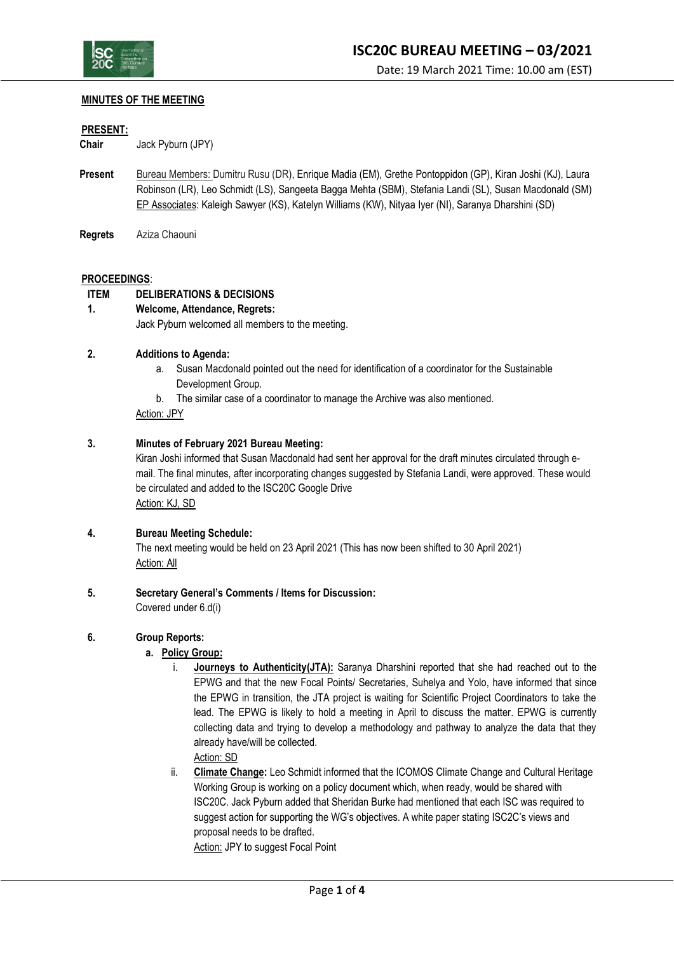

### **MINUTES OF THE MEETING**

#### **PRESENT:**

**Chair** Jack Pyburn (JPY)

- **Present** Bureau Members: Dumitru Rusu (DR), Enrique Madia (EM), Grethe Pontoppidon (GP), Kiran Joshi (KJ), Laura Robinson (LR), Leo Schmidt (LS), Sangeeta Bagga Mehta (SBM), Stefania Landi (SL), Susan Macdonald (SM) EP Associates: Kaleigh Sawyer (KS), Katelyn Williams (KW), Nityaa Iyer (NI), Saranya Dharshini (SD)
- **Regrets** Aziza Chaouni

#### **PROCEEDINGS**:

# **ITEM DELIBERATIONS & DECISIONS**

**1. Welcome, Attendance, Regrets:** Jack Pyburn welcomed all members to the meeting.

## **2. Additions to Agenda:**

- a. Susan Macdonald pointed out the need for identification of a coordinator for the Sustainable Development Group.
- b. The similar case of a coordinator to manage the Archive was also mentioned.

Action: JPY

#### **3. Minutes of February 2021 Bureau Meeting:**

Kiran Joshi informed that Susan Macdonald had sent her approval for the draft minutes circulated through email. The final minutes, after incorporating changes suggested by Stefania Landi, were approved. These would be circulated and added to the ISC20C Google Drive Action: KJ, SD

## **4. Bureau Meeting Schedule:**

The next meeting would be held on 23 April 2021 (This has now been shifted to 30 April 2021) Action: All

#### **5. Secretary General's Comments / Items for Discussion:**

Covered under 6.d(i)

## **6. Group Reports:**

## **a. Policy Group:**

i. **Journeys to Authenticity(JTA):** Saranya Dharshini reported that she had reached out to the EPWG and that the new Focal Points/ Secretaries, Suhelya and Yolo, have informed that since the EPWG in transition, the JTA project is waiting for Scientific Project Coordinators to take the lead. The EPWG is likely to hold a meeting in April to discuss the matter. EPWG is currently collecting data and trying to develop a methodology and pathway to analyze the data that they already have/will be collected.

Action: SD

ii. **Climate Change:** Leo Schmidt informed that the ICOMOS Climate Change and Cultural Heritage Working Group is working on a policy document which, when ready, would be shared with ISC20C. Jack Pyburn added that Sheridan Burke had mentioned that each ISC was required to suggest action for supporting the WG's objectives. A white paper stating ISC2C's views and proposal needs to be drafted.

Action: JPY to suggest Focal Point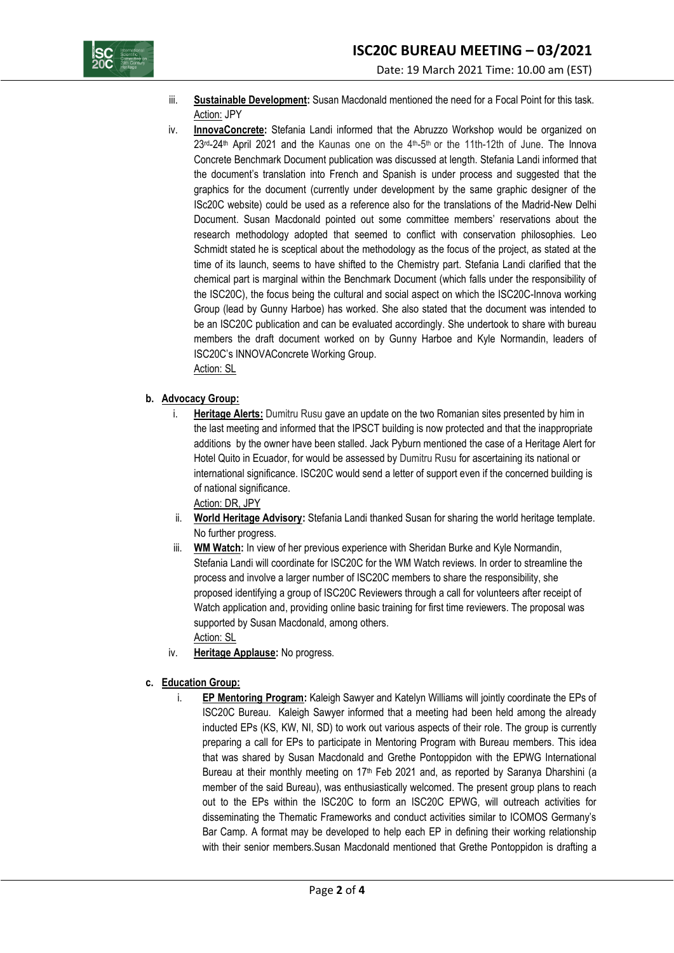

- iii. **Sustainable Development:** Susan Macdonald mentioned the need for a Focal Point for this task. Action: JPY
- iv. **InnovaConcrete:** Stefania Landi informed that the Abruzzo Workshop would be organized on 23<sup>rd</sup>-24<sup>th</sup> April 2021 and the Kaunas one on the 4<sup>th</sup>-5<sup>th</sup> or the 11th-12th of June. The Innova Concrete Benchmark Document publication was discussed at length. Stefania Landi informed that the document's translation into French and Spanish is under process and suggested that the graphics for the document (currently under development by the same graphic designer of the ISc20C website) could be used as a reference also for the translations of the Madrid-New Delhi Document. Susan Macdonald pointed out some committee members' reservations about the research methodology adopted that seemed to conflict with conservation philosophies. Leo Schmidt stated he is sceptical about the methodology as the focus of the project, as stated at the time of its launch, seems to have shifted to the Chemistry part. Stefania Landi clarified that the chemical part is marginal within the Benchmark Document (which falls under the responsibility of the ISC20C), the focus being the cultural and social aspect on which the ISC20C-Innova working Group (lead by Gunny Harboe) has worked. She also stated that the document was intended to be an ISC20C publication and can be evaluated accordingly. She undertook to share with bureau members the draft document worked on by Gunny Harboe and Kyle Normandin, leaders of ISC20C's INNOVAConcrete Working Group. Action: SL

## **b. Advocacy Group:**

i. **Heritage Alerts:** Dumitru Rusu gave an update on the two Romanian sites presented by him in the last meeting and informed that the IPSCT building is now protected and that the inappropriate additions by the owner have been stalled. Jack Pyburn mentioned the case of a Heritage Alert for Hotel Quito in Ecuador, for would be assessed by Dumitru Rusu for ascertaining its national or international significance. ISC20C would send a letter of support even if the concerned building is of national significance.

Action: DR, JPY

- ii. **World Heritage Advisory:** Stefania Landi thanked Susan for sharing the world heritage template. No further progress.
- iii. **WM Watch:** In view of her previous experience with Sheridan Burke and Kyle Normandin, Stefania Landi will coordinate for ISC20C for the WM Watch reviews. In order to streamline the process and involve a larger number of ISC20C members to share the responsibility, she proposed identifying a group of ISC20C Reviewers through a call for volunteers after receipt of Watch application and, providing online basic training for first time reviewers. The proposal was supported by Susan Macdonald, among others. Action: SL
- iv. **Heritage Applause:** No progress.

# **c. Education Group:**

i. **EP Mentoring Program:** Kaleigh Sawyer and Katelyn Williams will jointly coordinate the EPs of ISC20C Bureau. Kaleigh Sawyer informed that a meeting had been held among the already inducted EPs (KS, KW, NI, SD) to work out various aspects of their role. The group is currently preparing a call for EPs to participate in Mentoring Program with Bureau members. This idea that was shared by Susan Macdonald and Grethe Pontoppidon with the EPWG International Bureau at their monthly meeting on 17<sup>th</sup> Feb 2021 and, as reported by Saranya Dharshini (a member of the said Bureau), was enthusiastically welcomed. The present group plans to reach out to the EPs within the ISC20C to form an ISC20C EPWG, will outreach activities for disseminating the Thematic Frameworks and conduct activities similar to ICOMOS Germany's Bar Camp. A format may be developed to help each EP in defining their working relationship with their senior members.Susan Macdonald mentioned that Grethe Pontoppidon is drafting a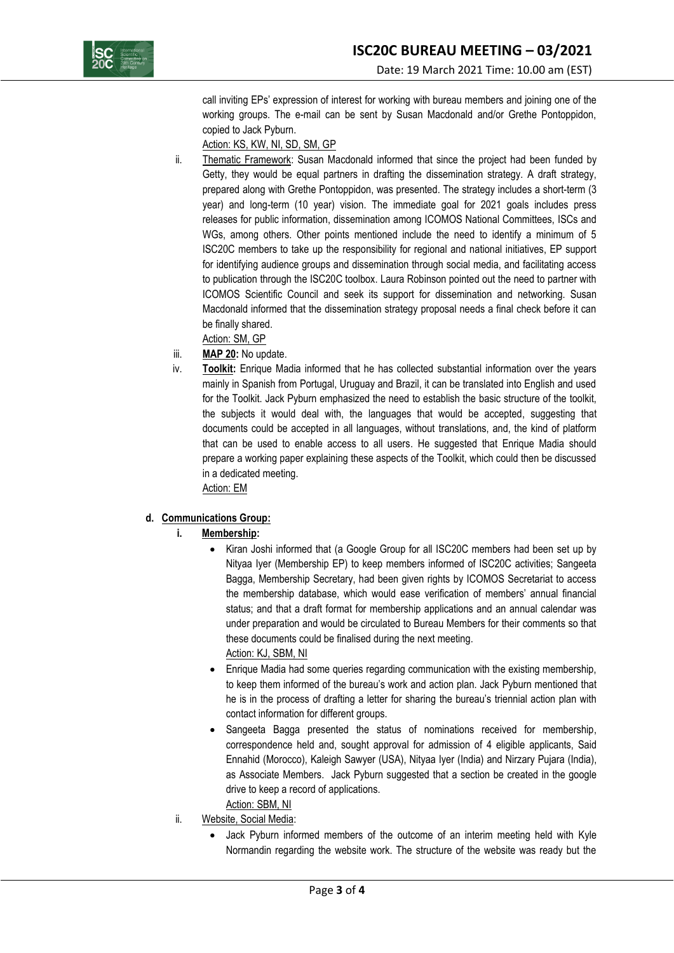# **ISC20C BUREAU MEETING – 03/2021**



call inviting EPs' expression of interest for working with bureau members and joining one of the working groups. The e-mail can be sent by Susan Macdonald and/or Grethe Pontoppidon, copied to Jack Pyburn.

Action: KS, KW, NI, SD, SM, GP

ii. Thematic Framework: Susan Macdonald informed that since the project had been funded by Getty, they would be equal partners in drafting the dissemination strategy. A draft strategy, prepared along with Grethe Pontoppidon, was presented. The strategy includes a short-term (3 year) and long-term (10 year) vision. The immediate goal for 2021 goals includes press releases for public information, dissemination among ICOMOS National Committees, ISCs and WGs, among others. Other points mentioned include the need to identify a minimum of 5 ISC20C members to take up the responsibility for regional and national initiatives, EP support for identifying audience groups and dissemination through social media, and facilitating access to publication through the ISC20C toolbox. Laura Robinson pointed out the need to partner with ICOMOS Scientific Council and seek its support for dissemination and networking. Susan Macdonald informed that the dissemination strategy proposal needs a final check before it can be finally shared.

Action: SM, GP

- iii. **MAP 20:** No update.
- iv. **Toolkit:** Enrique Madia informed that he has collected substantial information over the years mainly in Spanish from Portugal, Uruguay and Brazil, it can be translated into English and used for the Toolkit. Jack Pyburn emphasized the need to establish the basic structure of the toolkit, the subjects it would deal with, the languages that would be accepted, suggesting that documents could be accepted in all languages, without translations, and, the kind of platform that can be used to enable access to all users. He suggested that Enrique Madia should prepare a working paper explaining these aspects of the Toolkit, which could then be discussed in a dedicated meeting. Action: EM

# **d. Communications Group:**

- **i. Membership:**
	- Kiran Joshi informed that (a Google Group for all ISC20C members had been set up by Nityaa Iyer (Membership EP) to keep members informed of ISC20C activities; Sangeeta Bagga, Membership Secretary, had been given rights by ICOMOS Secretariat to access the membership database, which would ease verification of members' annual financial status; and that a draft format for membership applications and an annual calendar was under preparation and would be circulated to Bureau Members for their comments so that these documents could be finalised during the next meeting. Action: KJ, SBM, NI
	- Enrique Madia had some queries regarding communication with the existing membership, to keep them informed of the bureau's work and action plan. Jack Pyburn mentioned that he is in the process of drafting a letter for sharing the bureau's triennial action plan with contact information for different groups.
	- Sangeeta Bagga presented the status of nominations received for membership, correspondence held and, sought approval for admission of 4 eligible applicants, Said Ennahid (Morocco), Kaleigh Sawyer (USA), Nityaa Iyer (India) and Nirzary Pujara (India), as Associate Members. Jack Pyburn suggested that a section be created in the google drive to keep a record of applications. Action: SBM, NI
- ii. Website, Social Media:
	- Jack Pyburn informed members of the outcome of an interim meeting held with Kyle Normandin regarding the website work. The structure of the website was ready but the